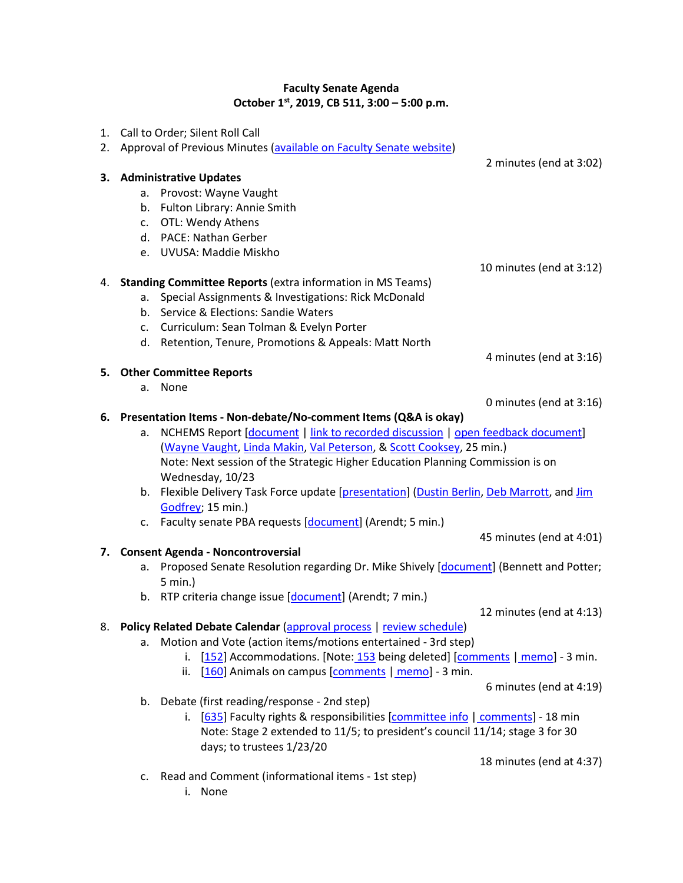## **Faculty Senate Agenda October 1st, 2019, CB 511, 3:00 – 5:00 p.m.**

|    | 1. Call to Order; Silent Roll Call                             |                                                                                            |
|----|----------------------------------------------------------------|--------------------------------------------------------------------------------------------|
|    |                                                                | 2. Approval of Previous Minutes (available on Faculty Senate website)                      |
|    |                                                                | 2 minutes (end at 3:02)                                                                    |
|    |                                                                | 3. Administrative Updates                                                                  |
|    | а.                                                             | Provost: Wayne Vaught                                                                      |
|    | b.                                                             | Fulton Library: Annie Smith                                                                |
|    |                                                                | c. OTL: Wendy Athens                                                                       |
|    |                                                                | d. PACE: Nathan Gerber                                                                     |
|    |                                                                | e. UVUSA: Maddie Miskho                                                                    |
|    |                                                                | 10 minutes (end at 3:12)                                                                   |
|    |                                                                | 4. Standing Committee Reports (extra information in MS Teams)                              |
|    | а.                                                             | Special Assignments & Investigations: Rick McDonald                                        |
|    | b.                                                             | Service & Elections: Sandie Waters                                                         |
|    |                                                                | c. Curriculum: Sean Tolman & Evelyn Porter                                                 |
|    |                                                                | d. Retention, Tenure, Promotions & Appeals: Matt North                                     |
|    |                                                                | 4 minutes (end at 3:16)                                                                    |
|    |                                                                | 5. Other Committee Reports                                                                 |
|    |                                                                | a. None                                                                                    |
|    |                                                                | 0 minutes (end at 3:16)                                                                    |
| 6. | Presentation Items - Non-debate/No-comment Items (Q&A is okay) |                                                                                            |
|    | a.                                                             | NCHEMS Report [document   link to recorded discussion   open feedback document]            |
|    |                                                                | (Wayne Vaught, Linda Makin, Val Peterson, & Scott Cooksey, 25 min.)                        |
|    |                                                                | Note: Next session of the Strategic Higher Education Planning Commission is on             |
|    |                                                                | Wednesday, 10/23                                                                           |
|    |                                                                | b. Flexible Delivery Task Force update [presentation] (Dustin Berlin, Deb Marrott, and Jim |
|    |                                                                | Godfrey; 15 min.)                                                                          |
|    |                                                                | c. Faculty senate PBA requests [document] (Arendt; 5 min.)                                 |
|    |                                                                | 45 minutes (end at 4:01)                                                                   |
| 7. |                                                                | <b>Consent Agenda - Noncontroversial</b>                                                   |
|    | а.                                                             | Proposed Senate Resolution regarding Dr. Mike Shively [document] (Bennett and Potter;      |
|    |                                                                | 5 min.)                                                                                    |
|    |                                                                | b. RTP criteria change issue [document] (Arendt; 7 min.)                                   |
|    |                                                                | 12 minutes (end at 4:13)                                                                   |
|    |                                                                | 8. Policy Related Debate Calendar (approval process   review schedule)                     |
|    | a.                                                             | Motion and Vote (action items/motions entertained - 3rd step)                              |
|    |                                                                | [152] Accommodations. [Note: 153 being deleted] [comments   memo] - 3 min.<br>i.           |
|    |                                                                | [160] Animals on campus [comments   memo] - 3 min.<br>ii.                                  |
|    |                                                                | 6 minutes (end at 4:19)                                                                    |
|    | b.                                                             | Debate (first reading/response - 2nd step)                                                 |
|    |                                                                | i. [635] Faculty rights & responsibilities [committee info   comments] - 18 min            |
|    |                                                                | Note: Stage 2 extended to 11/5; to president's council 11/14; stage 3 for 30               |
|    |                                                                | days; to trustees 1/23/20                                                                  |
|    |                                                                | 18 minutes (end at 4:37)                                                                   |
|    |                                                                | Read and Comment (informational items - 1st step)                                          |
|    | c.                                                             |                                                                                            |

i. None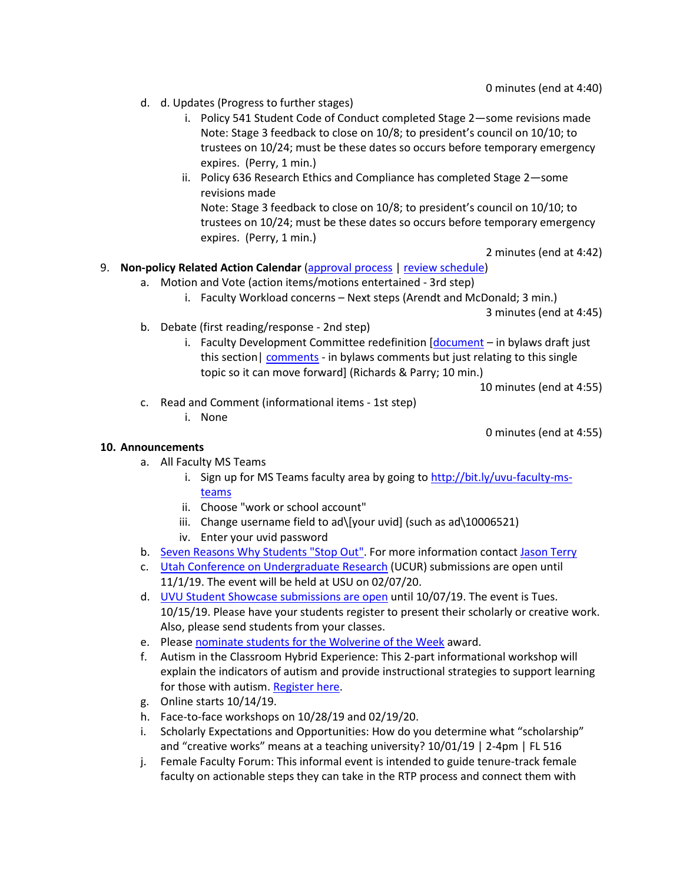- d. d. Updates (Progress to further stages)
	- i. Policy 541 Student Code of Conduct completed Stage 2—some revisions made Note: Stage 3 feedback to close on 10/8; to president's council on 10/10; to trustees on 10/24; must be these dates so occurs before temporary emergency expires. (Perry, 1 min.)
	- ii. Policy 636 Research Ethics and Compliance has completed Stage 2—some revisions made Note: Stage 3 feedback to close on 10/8; to president's council on 10/10; to trustees on 10/24; must be these dates so occurs before temporary emergency expires. (Perry, 1 min.)

2 minutes (end at 4:42)

## 9. **Non-policy Related Action Calendar** [\(approval process](https://drive.google.com/open?id=1ZysEECw97M4r9WoDRP43UkiTuGeuK0QIeYit67dJEWs) | [review schedule\)](https://drive.google.com/open?id=1_N-vlsnQxuIMPrtflQ3ZihWYzdmj4Es9ROtCHD0VvtY)

- a. Motion and Vote (action items/motions entertained 3rd step)
	- i. Faculty Workload concerns Next steps (Arendt and McDonald; 3 min.)

3 minutes (end at 4:45)

- b. Debate (first reading/response 2nd step)
	- i. Faculty Development Committee redefinition [\[document](https://drive.google.com/file/u/1/d/1gBipZmHwEEffav2-vgr6bDyziszo8F9w/view?usp=sharing) in bylaws draft just this section [| comments](https://docs.google.com/document/d/1io2URCRoJHDWwd_kFVbT_l99CiY8x7STsuxV5f6vjIw/edit?usp=sharing) - in bylaws comments but just relating to this single topic so it can move forward] (Richards & Parry; 10 min.)

10 minutes (end at 4:55)

0 minutes (end at 4:55)

- c. Read and Comment (informational items 1st step)
	- i. None

## **10. Announcements**

- a. All Faculty MS Teams
	- i. Sign up for MS Teams faculty area by going to [http://bit.ly/uvu-faculty-ms](http://bit.ly/uvu-faculty-ms-teams)[teams](http://bit.ly/uvu-faculty-ms-teams)
	- ii. Choose "work or school account"
	- iii. Change username field to ad\[your uvid] (such as ad\10006521)
	- iv. Enter your uvid password
- b. [Seven Reasons Why Students "Stop Out".](https://drive.google.com/open?id=19A_fJVUj90QPIek725d7p6qsgfyP6dEP) For more information contac[t Jason Terry](https://www.uvu.edu/directory/employee/?id=WnhNeS80L3UrTmJZVmFwWS9XSlpYZz09)
- c. [Utah Conference on Undergraduate Research](http://www.ucur.org/apply.php) (UCUR) submissions are open until 11/1/19. The event will be held at USU on 02/07/20.
- d. [UVU Student Showcase](https://www.uvu.edu/sculpt/events/showcase.html) submissions are open until 10/07/19. The event is Tues. 10/15/19. Please have your students register to present their scholarly or creative work. Also, please send students from your classes.
- e. Please [nominate students for the Wolverine of the Week](http://bitly.com/uvunominate) award.
- f. Autism in the Classroom Hybrid Experience: This 2-part informational workshop will explain the indicators of autism and provide instructional strategies to support learning for those with autism. [Register here.](https://click.pg.mlsend.com/link/c/YT0xMjUxNjQ0MTIyNTExNDQ3ODIwJmM9ajRzOCZlPTk1MTI5OSZiPTI3OTI1NDU5NiZkPWs2ajNjMmo=.fL4csEgpHzLJ6rwVxlZVAY2tLKG9UPkqPDE7__uTnoA)
- g. Online starts 10/14/19.
- h. Face-to-face workshops on 10/28/19 and 02/19/20.
- i. Scholarly Expectations and Opportunities: How do you determine what "scholarship" and "creative works" means at a teaching university? 10/01/19 | 2-4pm | FL 516
- j. Female Faculty Forum: This informal event is intended to guide tenure-track female faculty on actionable steps they can take in the RTP process and connect them with